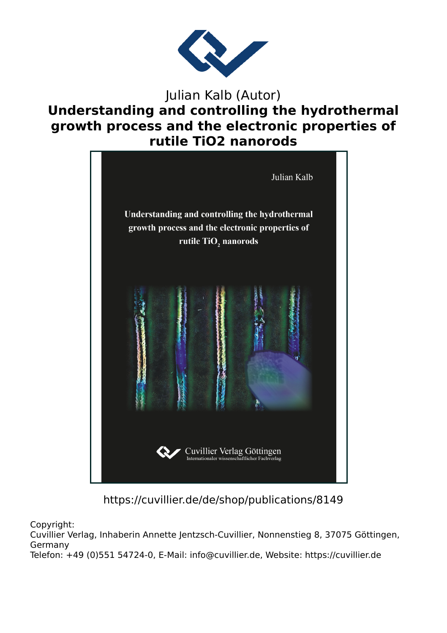

## Julian Kalb (Autor) **Understanding and controlling the hydrothermal growth process and the electronic properties of rutile TiO2 nanorods**



https://cuvillier.de/de/shop/publications/8149

Copyright:

Cuvillier Verlag, Inhaberin Annette Jentzsch-Cuvillier, Nonnenstieg 8, 37075 Göttingen, Germany Telefon: +49 (0)551 54724-0, E-Mail: info@cuvillier.de, Website: https://cuvillier.de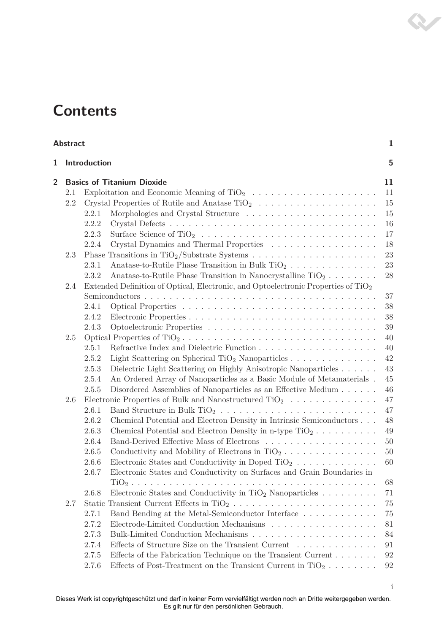## **Contents**

|                         | Abstract     |       |                                                                                              | 1  |
|-------------------------|--------------|-------|----------------------------------------------------------------------------------------------|----|
| 1                       | Introduction |       |                                                                                              | 5  |
| $\overline{\mathbf{2}}$ |              |       | <b>Basics of Titanium Dioxide</b>                                                            | 11 |
|                         | 2.1          |       |                                                                                              | 11 |
|                         | 2.2          |       |                                                                                              | 15 |
|                         |              | 2.2.1 | Morphologies and Crystal Structure                                                           | 15 |
|                         |              | 2.2.2 |                                                                                              | 16 |
|                         |              | 2.2.3 |                                                                                              | 17 |
|                         |              | 2.2.4 | Crystal Dynamics and Thermal Properties $\ldots \ldots \ldots \ldots \ldots \ldots$          | 18 |
|                         | 2.3          |       |                                                                                              | 23 |
|                         |              | 2.3.1 | Anatase-to-Rutile Phase Transition in Bulk $TiO_2$                                           | 23 |
|                         |              | 2.3.2 | Anatase-to-Rutile Phase Transition in Nanocrystalline $TiO_2 \ldots \ldots$                  | 28 |
|                         | 2.4          |       | Extended Definition of Optical, Electronic, and Optoelectronic Properties of $\rm TiO_2$     |    |
|                         |              |       |                                                                                              | 37 |
|                         |              | 2.4.1 |                                                                                              | 38 |
|                         |              | 2.4.2 |                                                                                              | 38 |
|                         |              | 2.4.3 |                                                                                              | 39 |
| 2.5                     |              |       | 40                                                                                           |    |
|                         |              | 2.5.1 |                                                                                              | 40 |
|                         |              | 2.5.2 | Light Scattering on Spherical TiO <sub>2</sub> Nanoparticles $\ldots \ldots \ldots \ldots$   | 42 |
|                         |              | 2.5.3 | Dielectric Light Scattering on Highly Anisotropic Nanoparticles                              | 43 |
|                         |              | 2.5.4 | An Ordered Array of Nanoparticles as a Basic Module of Metamaterials.                        | 45 |
|                         |              | 2.5.5 | Disordered Assemblies of Nanoparticles as an Effective Medium                                | 46 |
|                         | 2.6          |       | Electronic Properties of Bulk and Nanostructured TiO <sub>2</sub>                            | 47 |
|                         |              | 2.6.1 |                                                                                              | 47 |
|                         |              | 2.6.2 | Chemical Potential and Electron Density in Intrinsic Semiconductors                          | 48 |
|                         |              | 2.6.3 | Chemical Potential and Electron Density in n-type $TiO_2 \ldots \ldots \ldots$               | 49 |
|                         |              | 2.6.4 |                                                                                              | 50 |
|                         |              | 2.6.5 | Conductivity and Mobility of Electrons in TiO <sub>2</sub>                                   | 50 |
|                         |              | 2.6.6 | Electronic States and Conductivity in Doped TiO <sub>2</sub>                                 | 60 |
|                         |              | 2.6.7 | Electronic States and Conductivity on Surfaces and Grain Boundaries in                       |    |
|                         |              |       |                                                                                              | 68 |
|                         |              | 2.6.8 | Electronic States and Conductivity in $\rm TiO_2$ Nano<br>particles $\ldots \ldots \ldots$ . | 71 |
|                         | 2.7          |       |                                                                                              | 75 |
|                         |              | 2.7.1 | Band Bending at the Metal-Semiconductor Interface                                            | 75 |
|                         |              | 2.7.2 | Electrode-Limited Conduction Mechanisms                                                      | 81 |
|                         |              | 2.7.3 |                                                                                              | 84 |
|                         |              | 2.7.4 | Effects of Structure Size on the Transient Current                                           | 91 |
|                         |              | 2.7.5 | Effects of the Fabrication Technique on the Transient Current                                | 92 |
|                         |              | 2.7.6 | Effects of Post-Treatment on the Transient Current in TiO <sub>2</sub>                       | 92 |

i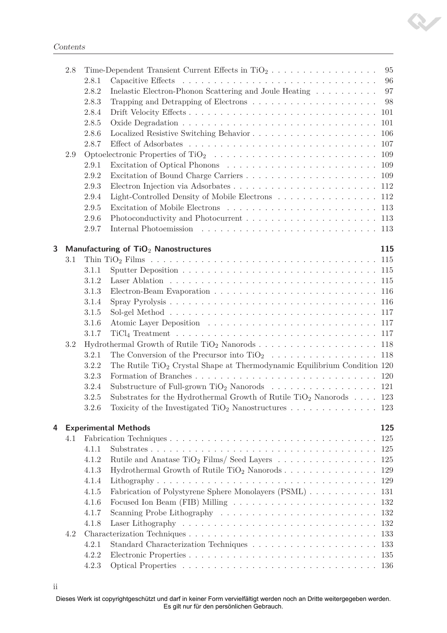|     | 2.8 | Time-Dependent Transient Current Effects in $\rm TiO_2$ |                                                                                                        |     |  |  |
|-----|-----|---------------------------------------------------------|--------------------------------------------------------------------------------------------------------|-----|--|--|
|     |     | 2.8.1                                                   |                                                                                                        | 96  |  |  |
|     |     | 2.8.2                                                   | Inelastic Electron-Phonon Scattering and Joule Heating $\ldots \ldots \ldots$                          | 97  |  |  |
|     |     | 2.8.3                                                   | Trapping and Detrapping of Electrons $\ldots \ldots \ldots \ldots \ldots \ldots \ldots$                | 98  |  |  |
|     |     | 2.8.4                                                   |                                                                                                        |     |  |  |
|     |     | 2.8.5                                                   |                                                                                                        | 101 |  |  |
|     |     | 2.8.6                                                   |                                                                                                        | 106 |  |  |
|     |     | 2.8.7                                                   |                                                                                                        | 107 |  |  |
|     | 2.9 |                                                         |                                                                                                        | 109 |  |  |
|     |     | 2.9.1                                                   |                                                                                                        | 109 |  |  |
|     |     | 2.9.2                                                   |                                                                                                        |     |  |  |
|     |     | 2.9.3                                                   |                                                                                                        |     |  |  |
|     |     | 2.9.4                                                   | Light-Controlled Density of Mobile Electrons  112                                                      |     |  |  |
|     |     | 2.9.5                                                   |                                                                                                        |     |  |  |
|     |     | 2.9.6                                                   |                                                                                                        |     |  |  |
|     |     | 2.9.7                                                   |                                                                                                        |     |  |  |
|     |     |                                                         |                                                                                                        |     |  |  |
| 3   |     | Manufacturing of TiO <sub>2</sub> Nanostructures        |                                                                                                        |     |  |  |
|     | 3.1 |                                                         |                                                                                                        | 115 |  |  |
|     |     | 3.1.1                                                   | Sputter Deposition $\ldots \ldots \ldots \ldots \ldots \ldots \ldots \ldots \ldots \ldots \ldots$      |     |  |  |
|     |     | 3.1.2                                                   |                                                                                                        |     |  |  |
|     |     | 3.1.3                                                   |                                                                                                        |     |  |  |
|     |     | 3.1.4                                                   |                                                                                                        |     |  |  |
|     |     | 3.1.5                                                   |                                                                                                        |     |  |  |
|     |     | 3.1.6                                                   |                                                                                                        |     |  |  |
|     |     | 3.1.7                                                   |                                                                                                        |     |  |  |
| 3.2 |     |                                                         | Hydrothermal Growth of Rutile TiO <sub>2</sub> Nanorods 118                                            |     |  |  |
|     |     | 3.2.1                                                   |                                                                                                        |     |  |  |
|     |     | 3.2.2                                                   | The Rutile $TiO2$ Crystal Shape at Thermodynamic Equilibrium Condition 120                             |     |  |  |
|     |     | 3.2.3                                                   |                                                                                                        |     |  |  |
|     |     | 3.2.4                                                   | Substructure of Full-grown TiO <sub>2</sub> Nanorods 121                                               |     |  |  |
|     |     | 3.2.5                                                   | Substrates for the Hydrothermal Growth of Rutile TiO <sub>2</sub> Nanorods $\ldots$ 123                |     |  |  |
|     |     | 3.2.6                                                   | Toxicity of the Investigated TiO <sub>2</sub> Nanostructures 123                                       |     |  |  |
|     |     |                                                         |                                                                                                        |     |  |  |
| 4   |     |                                                         | <b>Experimental Methods</b>                                                                            | 125 |  |  |
|     | 4.1 |                                                         |                                                                                                        |     |  |  |
|     |     | 4.1.1                                                   |                                                                                                        |     |  |  |
|     |     | 4.1.2                                                   | Rutile and Anatase TiO <sub>2</sub> Films/ Seed Layers $\ldots \ldots \ldots \ldots \ldots \ldots 125$ |     |  |  |
|     |     | 4.1.3                                                   | Hydrothermal Growth of Rutile TiO <sub>2</sub> Nanorods 129                                            |     |  |  |
|     |     | 4.1.4                                                   |                                                                                                        |     |  |  |
|     |     | 4.1.5                                                   | Fabrication of Polystyrene Sphere Monolayers (PSML) 131                                                |     |  |  |
|     |     | 4.1.6                                                   |                                                                                                        |     |  |  |
|     |     | 4.1.7                                                   |                                                                                                        |     |  |  |
|     |     | 4.1.8                                                   |                                                                                                        |     |  |  |
|     | 4.2 |                                                         |                                                                                                        |     |  |  |
|     |     | 4.2.1                                                   |                                                                                                        |     |  |  |
|     |     | 4.2.2                                                   |                                                                                                        | 135 |  |  |
|     |     | 4.2.3                                                   |                                                                                                        |     |  |  |
|     |     |                                                         |                                                                                                        |     |  |  |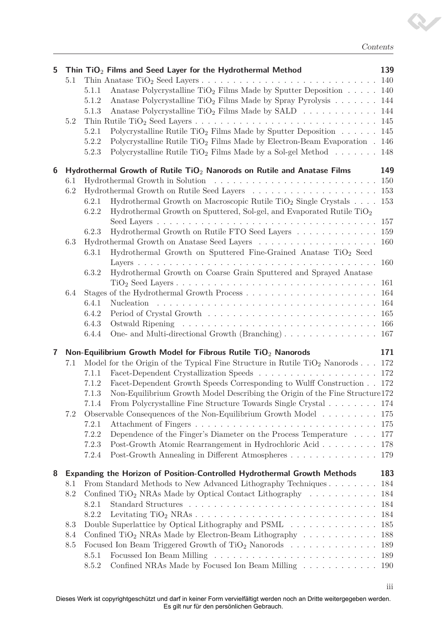Contents

iii

| 5 | 5.1                                                                                        |                | Thin $TiO2$ Films and Seed Layer for the Hydrothermal Method                                                                                                    | 139<br>140 |  |
|---|--------------------------------------------------------------------------------------------|----------------|-----------------------------------------------------------------------------------------------------------------------------------------------------------------|------------|--|
|   |                                                                                            | 5.1.1          | Anatase Polycrystalline TiO <sub>2</sub> Films Made by Sputter Deposition $\ldots \ldots$                                                                       | 140        |  |
|   |                                                                                            | 5.1.2          | Anatase Polycrystalline TiO <sub>2</sub> Films Made by Spray Pyrolysis 144                                                                                      |            |  |
|   |                                                                                            | 5.1.3          | Anatase Polycrystalline TiO <sub>2</sub> Films Made by SALD $\ldots \ldots \ldots \ldots 144$                                                                   |            |  |
|   | 5.2                                                                                        |                |                                                                                                                                                                 |            |  |
|   |                                                                                            | 5.2.1          | Polycrystalline Rutile TiO <sub>2</sub> Films Made by Sputter Deposition $\ldots \ldots$                                                                        | 145        |  |
|   |                                                                                            | 5.2.2          | Polycrystalline Rutile $TiO2$ Films Made by Electron-Beam Evaporation.                                                                                          | 146        |  |
|   |                                                                                            | 5.2.3          | Polycrystalline Rutile TiO <sub>2</sub> Films Made by a Sol-gel Method $\dots \dots$                                                                            | 148        |  |
| 6 | Hydrothermal Growth of Rutile TiO <sub>2</sub> Nanorods on Rutile and Anatase Films<br>149 |                |                                                                                                                                                                 |            |  |
|   | 6.1                                                                                        |                |                                                                                                                                                                 | 150        |  |
|   | 6.2                                                                                        |                |                                                                                                                                                                 | 153        |  |
|   |                                                                                            | 6.2.1<br>6.2.2 | Hydrothermal Growth on Macroscopic Rutile TiO <sub>2</sub> Single Crystals $\dots$ .<br>Hydrothermal Growth on Sputtered, Sol-gel, and Evaporated Rutile $TiO2$ | 153        |  |
|   |                                                                                            |                |                                                                                                                                                                 |            |  |
|   |                                                                                            | 6.2.3          | Hydrothermal Growth on Rutile FTO Seed Layers 159                                                                                                               |            |  |
|   | 6.3                                                                                        |                |                                                                                                                                                                 | 160        |  |
|   |                                                                                            | 6.3.1          | Hydrothermal Growth on Sputtered Fine-Grained Anatase TiO <sub>2</sub> Seed                                                                                     |            |  |
|   |                                                                                            | 6.3.2          | Hydrothermal Growth on Coarse Grain Sputtered and Sprayed Anatase                                                                                               |            |  |
|   |                                                                                            |                |                                                                                                                                                                 | 164        |  |
|   | 6.4                                                                                        | 6.4.1          |                                                                                                                                                                 | 164        |  |
|   |                                                                                            | 6.4.2          |                                                                                                                                                                 | 165        |  |
|   |                                                                                            | 6.4.3          |                                                                                                                                                                 | 166        |  |
|   |                                                                                            | 6.4.4          | One- and Multi-directional Growth $(Branching) \dots \dots \dots \dots \dots$                                                                                   | 167        |  |
|   |                                                                                            |                |                                                                                                                                                                 |            |  |
| 7 |                                                                                            |                | Non-Equilibrium Growth Model for Fibrous Rutile TiO <sub>2</sub> Nanorods                                                                                       | 171        |  |
|   | 7.1                                                                                        |                | Model for the Origin of the Typical Fine Structure in Rutile $TiO2$ Nanorods 172                                                                                |            |  |
|   |                                                                                            | 7.1.1          |                                                                                                                                                                 |            |  |
|   |                                                                                            | 7.1.2          | Facet-Dependent Growth Speeds Corresponding to Wulff Construction 172                                                                                           |            |  |
|   |                                                                                            | 7.1.3          | Non-Equilibrium Growth Model Describing the Origin of the Fine Structure 172                                                                                    |            |  |
|   |                                                                                            | 7.1.4          | From Polycrystalline Fine Structure Towards Single Crystal 174                                                                                                  |            |  |
|   | 7.2                                                                                        |                | Observable Consequences of the Non-Equilibrium Growth Model 175                                                                                                 |            |  |
|   |                                                                                            | 7.2.1          |                                                                                                                                                                 |            |  |
|   |                                                                                            | 7.2.2          | Dependence of the Finger's Diameter on the Process Temperature 177                                                                                              |            |  |
|   |                                                                                            | 7.2.3<br>7.2.4 | Post-Growth Atomic Rearrangement in Hydrochloric Acid 178                                                                                                       |            |  |
|   |                                                                                            |                | Post-Growth Annealing in Different Atmospheres                                                                                                                  | 179        |  |
| 8 |                                                                                            |                | Expanding the Horizon of Position-Controlled Hydrothermal Growth Methods                                                                                        | 183        |  |
|   | 8.1                                                                                        |                | From Standard Methods to New Advanced Lithography Techniques                                                                                                    | 184        |  |
|   | 8.2                                                                                        |                | Confined TiO <sub>2</sub> NRAs Made by Optical Contact Lithography $\dots \dots \dots \dots$ 184                                                                |            |  |
|   |                                                                                            | 8.2.1          |                                                                                                                                                                 | 184        |  |
|   |                                                                                            | 8.2.2          |                                                                                                                                                                 | 184        |  |
|   | 8.3                                                                                        |                | Double Superlattice by Optical Lithography and PSML 185                                                                                                         |            |  |
|   | 8.4                                                                                        |                | Confined TiO <sub>2</sub> NRAs Made by Electron-Beam Lithography $\dots \dots \dots \dots$ 188                                                                  |            |  |
|   | 8.5                                                                                        |                | Focused Ion Beam Triggered Growth of $TiO2$ Nanorods  189                                                                                                       |            |  |
|   |                                                                                            | 8.5.1          |                                                                                                                                                                 |            |  |
|   |                                                                                            | 8.5.2          | Confined NRAs Made by Focused Ion Beam Milling 190                                                                                                              |            |  |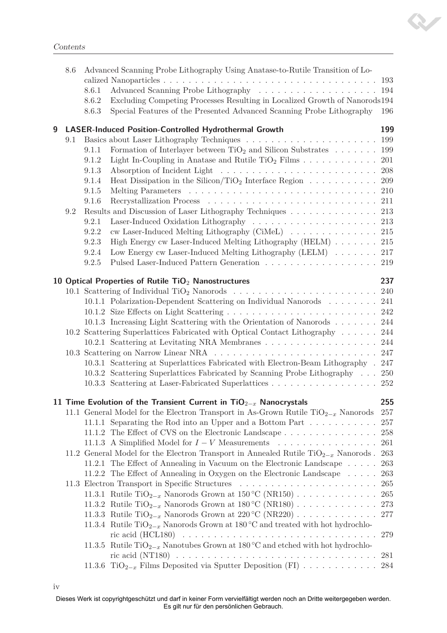|   | Advanced Scanning Probe Lithography Using Anatase-to-Rutile Transition of Lo-<br>$8.6\,$ |                                                                                                                                                               |     |  |
|---|------------------------------------------------------------------------------------------|---------------------------------------------------------------------------------------------------------------------------------------------------------------|-----|--|
|   |                                                                                          |                                                                                                                                                               |     |  |
|   |                                                                                          | 8.6.1<br>8.6.2                                                                                                                                                | 194 |  |
|   |                                                                                          | Excluding Competing Processes Resulting in Localized Growth of Nanorods 194<br>Special Features of the Presented Advanced Scanning Probe Lithography<br>8.6.3 | 196 |  |
|   |                                                                                          |                                                                                                                                                               |     |  |
| 9 |                                                                                          | <b>LASER-Induced Position-Controlled Hydrothermal Growth</b>                                                                                                  | 199 |  |
|   | 9.1                                                                                      |                                                                                                                                                               | 199 |  |
|   |                                                                                          | Formation of Interlayer between $TiO2$ and Silicon Substrates  199<br>9.1.1<br>9.1.2                                                                          |     |  |
|   |                                                                                          | Light In-Coupling in Anatase and Rutile TiO <sub>2</sub> Films $\ldots \ldots \ldots \ldots$ 201<br>9.1.3                                                     |     |  |
|   |                                                                                          | 9.1.4<br>Heat Dissipation in the Silicon/TiO <sub>2</sub> Interface Region $\dots \dots \dots \dots$ 209                                                      |     |  |
|   |                                                                                          | 9.1.5                                                                                                                                                         |     |  |
|   |                                                                                          | 9.1.6                                                                                                                                                         |     |  |
|   | 9.2                                                                                      | Results and Discussion of Laser Lithography Techniques $\ldots \ldots \ldots \ldots$ 213                                                                      |     |  |
|   |                                                                                          | 9.2.1                                                                                                                                                         |     |  |
|   |                                                                                          | cw Laser-Induced Melting Lithography (CiMeL) $\ldots \ldots \ldots \ldots \ldots$ 215<br>9.2.2                                                                |     |  |
|   |                                                                                          | 9.2.3<br>High Energy cw Laser-Induced Melting Lithography $(HELM)$ 215                                                                                        |     |  |
|   |                                                                                          | 9.2.4<br>Low Energy cw Laser-Induced Melting Lithography (LELM) $\ldots$ 217                                                                                  |     |  |
|   |                                                                                          | 9.2.5<br>Pulsed Laser-Induced Pattern Generation 219                                                                                                          |     |  |
|   |                                                                                          | 10 Optical Properties of Rutile $TiO2$ Nanostructures                                                                                                         | 237 |  |
|   |                                                                                          |                                                                                                                                                               |     |  |
|   |                                                                                          | 10.1.1 Polarization-Dependent Scattering on Individual Nanorods 241                                                                                           |     |  |
|   |                                                                                          |                                                                                                                                                               |     |  |
|   |                                                                                          | 10.1.3 Increasing Light Scattering with the Orientation of Nanorods                                                                                           | 244 |  |
|   |                                                                                          | 10.2 Scattering Superlattices Fabricated with Optical Contact Lithography 244                                                                                 |     |  |
|   |                                                                                          | 10.2.1 Scattering at Levitating NRA Membranes 244                                                                                                             |     |  |
|   |                                                                                          |                                                                                                                                                               |     |  |
|   |                                                                                          | 10.3.1 Scattering at Superlattices Fabricated with Electron-Beam Lithography . 247                                                                            |     |  |
|   |                                                                                          | 10.3.2 Scattering Superlattices Fabricated by Scanning Probe Lithography 250                                                                                  |     |  |
|   |                                                                                          | 10.3.3 Scattering at Laser-Fabricated Superlattices                                                                                                           | 252 |  |
|   |                                                                                          | 11 Time Evolution of the Transient Current in $TiO_{2-x}$ Nanocrystals                                                                                        | 255 |  |
|   |                                                                                          | 11.1 General Model for the Electron Transport in As-Grown Rutile $TiO_{2-x}$ Nanorods                                                                         | 257 |  |
|   |                                                                                          | 11.1.1 Separating the Rod into an Upper and a Bottom Part                                                                                                     | 257 |  |
|   |                                                                                          |                                                                                                                                                               | 258 |  |
|   |                                                                                          | 11.1.3 A Simplified Model for $I-V$ Measurements $\cdots\cdots\cdots\cdots\cdots\cdots$                                                                       | 261 |  |
|   |                                                                                          | 11.2 General Model for the Electron Transport in Annealed Rutile $TiO_{2-x}$ Nanorods.                                                                        | 263 |  |
|   |                                                                                          | 11.2.1 The Effect of Annealing in Vacuum on the Electronic Landscape $\ldots \ldots$                                                                          | 263 |  |
|   |                                                                                          | 11.2.2 The Effect of Annealing in Oxygen on the Electronic Landscape                                                                                          | 263 |  |
|   |                                                                                          | 11.3 Electron Transport in Specific Structures                                                                                                                | 265 |  |
|   |                                                                                          | 11.3.1 Rutile TiO <sub>2-x</sub> Nanorods Grown at 150 °C (NR150)                                                                                             | 265 |  |
|   |                                                                                          | 11.3.2 Rutile TiO <sub>2-x</sub> Nanorods Grown at 180 °C (NR180)                                                                                             | 273 |  |
|   |                                                                                          | 11.3.3 Rutile TiO <sub>2-x</sub> Nanorods Grown at 220 °C (NR220)                                                                                             | 277 |  |
|   |                                                                                          | 11.3.4 Rutile TiO <sub>2-x</sub> Nanorods Grown at 180 °C and treated with hot hydrochlo-                                                                     |     |  |
|   |                                                                                          |                                                                                                                                                               | 279 |  |
|   |                                                                                          | 11.3.5 Rutile TiO <sub>2-x</sub> Nanotubes Grown at 180 °C and etched with hot hydrochlo-                                                                     |     |  |
|   |                                                                                          | 11.3.6 TiO <sub>2-x</sub> Films Deposited via Sputter Deposition (FI)  284                                                                                    |     |  |
|   |                                                                                          |                                                                                                                                                               |     |  |